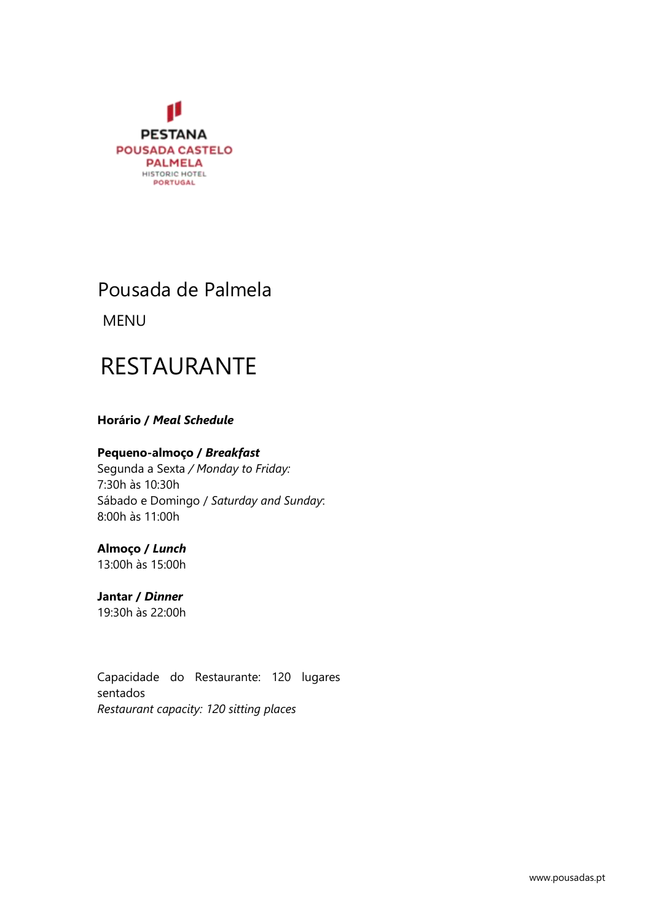

## Pousada de Palmela

**MENU** 

# RESTAURANTE

### **Horário / Meal Schedule**

#### **Pequeno-almoço /** *Breakfast*

Segunda a Sexta */ Monday to Friday:* 7:30h às 10:30h Sábado e Domingo / *Saturday and Sunday*: 8:00h às 11:00h

### **Almoço /** *Lunch*

13:00h às 15:00h

## **Jantar /** *Dinner*

19:30h às 22:00h

Capacidade do Restaurante: 120 lugares sentados *Restaurant capacity: 120 sitting places*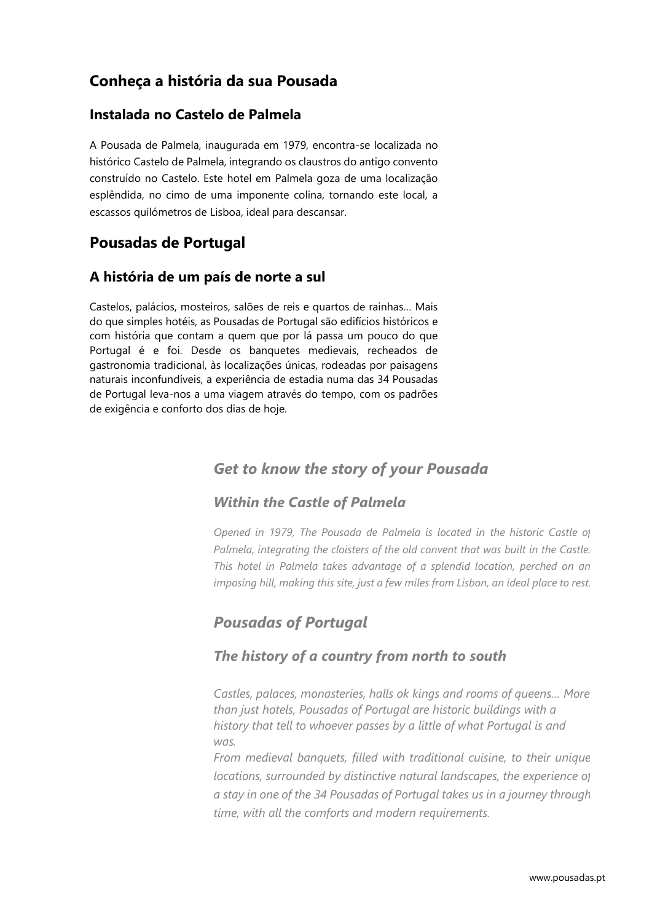## **Conheça a história da sua Pousada**

### **Instalada no Castelo de Palmela**

A Pousada de Palmela, inaugurada em 1979, encontra-se localizada no histórico Castelo de Palmela, integrando os claustros do antigo convento construído no Castelo. Este hotel em Palmela goza de uma localização esplêndida, no cimo de uma imponente colina, tornando este local, a escassos quilómetros de Lisboa, ideal para descansar.

## **Pousadas de Portugal**

### **A história de um país de norte a sul**

Castelos, palácios, mosteiros, salões de reis e quartos de rainhas… Mais do que simples hotéis, as Pousadas de Portugal são edifícios históricos e com história que contam a quem que por lá passa um pouco do que Portugal é e foi. Desde os banquetes medievais, recheados de gastronomia tradicional, às localizações únicas, rodeadas por paisagens naturais inconfundíveis, a experiência de estadia numa das 34 Pousadas de Portugal leva-nos a uma viagem através do tempo, com os padrões de exigência e conforto dos dias de hoje.

## *Get to know the story of your Pousada*

## *Within the Castle of Palmela*

*Opened in 1979, The Pousada de Palmela is located in the historic Castle of Palmela, integrating the cloisters of the old convent that was built in the Castle. This hotel in Palmela takes advantage of a splendid location, perched on an imposing hill, making this site, just a few miles from Lisbon, an ideal place to rest.* 

## *Pousadas of Portugal*

## *The history of a country from north to south*

*Castles, palaces, monasteries, halls ok kings and rooms of queens… More than just hotels, Pousadas of Portugal are historic buildings with a history that tell to whoever passes by a little of what Portugal is and was.*

*From medieval banquets, filled with traditional cuisine, to their unique locations, surrounded by distinctive natural landscapes, the experience of a stay in one of the 34 Pousadas of Portugal takes us in a journey through time, with all the comforts and modern requirements.*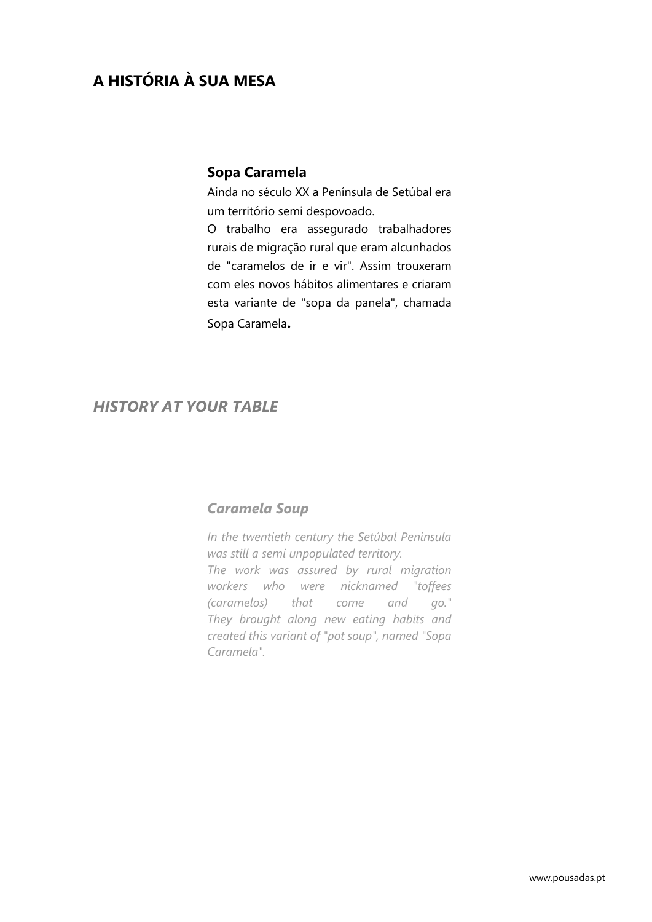## **A HISTÓRIA À SUA MESA**

#### **Sopa Caramela**

Ainda no século XX a Península de Setúbal era um território semi despovoado.

O trabalho era assegurado trabalhadores rurais de migração rural que eram alcunhados de "caramelos de ir e vir". Assim trouxeram com eles novos hábitos alimentares e criaram esta variante de "sopa da panela", chamada Sopa Caramela**.**

### *HISTORY AT YOUR TABLE*

#### *Caramela Soup*

*In the twentieth century the Setúbal Peninsula was still a semi unpopulated territory. The work was assured by rural migration workers who were nicknamed "toffees (caramelos) that come and go." They brought along new eating habits and created this variant of "pot soup", named "Sopa Caramela".*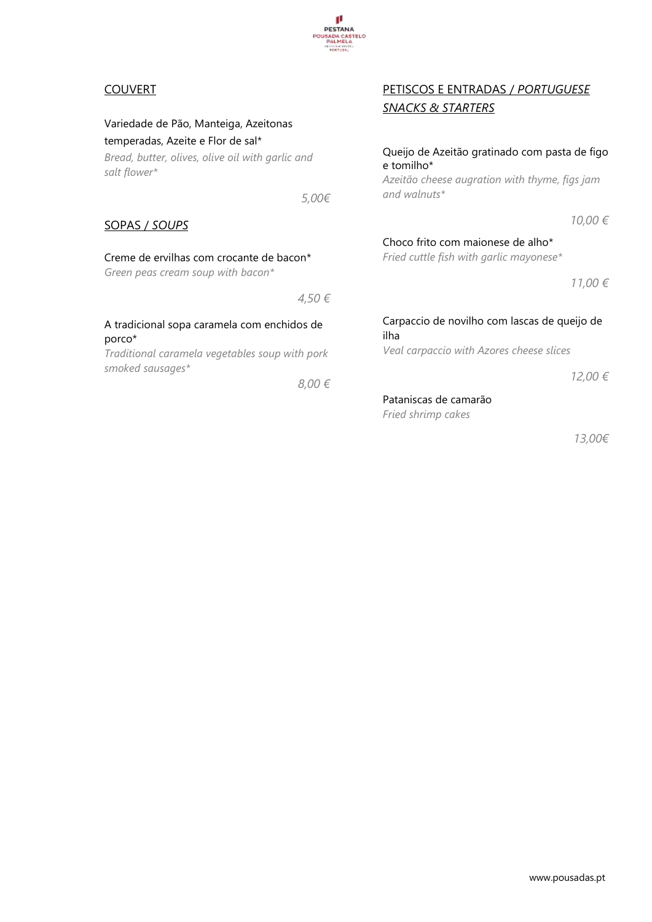

## Carpaccio de novilho com lascas de queijo de ilha

*Veal carpaccio with Azores cheese slices*

*12,00 €*

*13,00€*

#### Pataniscas de camarão *Fried shrimp cakes*

A tradicional sopa caramela com enchidos de porco\*

*Traditional caramela vegetables soup with pork smoked sausages\**

*8,00 €*

*4,50 €*

## COUVERT

Variedade de Pão, Manteiga, Azeitonas temperadas, Azeite e Flor de sal\*

*Bread, butter, olives, olive oil with garlic and salt flower\**

*5,00€*

**I SADA CASTELO**<br>PALMELA

#### SOPAS / *SOUPS*

#### Creme de ervilhas com crocante de bacon\*

*Green peas cream soup with bacon\**

## PETISCOS E ENTRADAS / *PORTUGUESE SNACKS & STARTERS*

#### Queijo de Azeitão gratinado com pasta de figo e tomilho\*

*Azeitão cheese augration with thyme, figs jam and walnuts\**

*10,00 €*

*11,00 €*

Choco frito com maionese de alho\* *Fried cuttle fish with garlic mayonese\**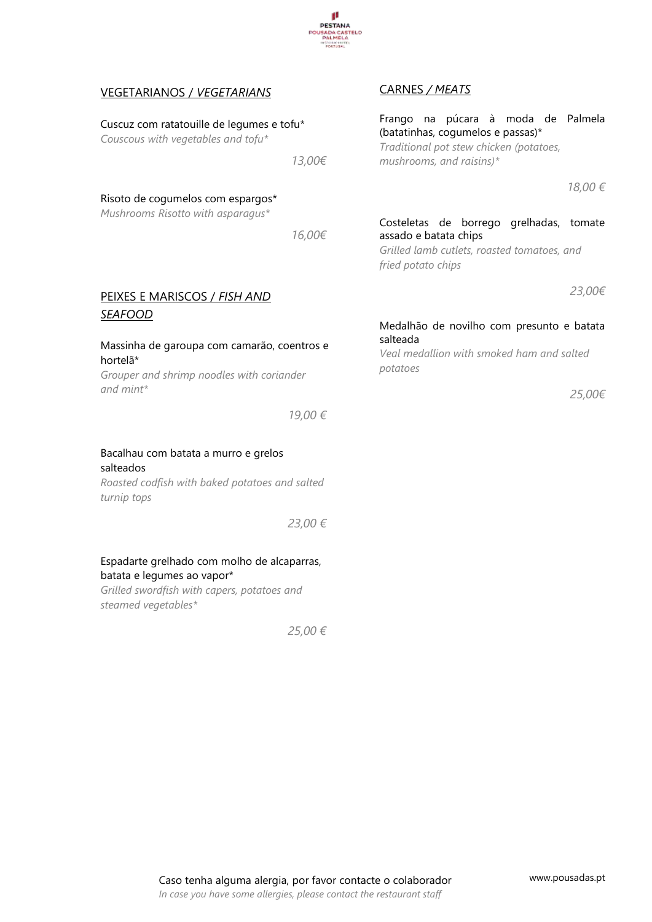

| <b>VEGETARIANOS / VEGETARIANS</b>                                                                                      |         | <b>CARNES / MEATS</b>                                                                                                                          |
|------------------------------------------------------------------------------------------------------------------------|---------|------------------------------------------------------------------------------------------------------------------------------------------------|
| Cuscuz com ratatouille de legumes e tofu*<br>Couscous with vegetables and tofu*                                        | 13,00€  | Frango na púcara à moda de Palmela<br>(batatinhas, cogumelos e passas)*<br>Traditional pot stew chicken (potatoes,<br>mushrooms, and raisins)* |
| Risoto de cogumelos com espargos*<br>Mushrooms Risotto with asparagus*                                                 |         | 18,00 €                                                                                                                                        |
|                                                                                                                        | 16,00€  | Costeletas de borrego grelhadas, tomate<br>assado e batata chips<br>Grilled lamb cutlets, roasted tomatoes, and<br>fried potato chips          |
| PEIXES E MARISCOS / FISH AND                                                                                           |         | 23,00€                                                                                                                                         |
| <b>SEAFOOD</b><br>Massinha de garoupa com camarão, coentros e<br>hortelã*<br>Grouper and shrimp noodles with coriander |         | Medalhão de novilho com presunto e batata<br>salteada<br>Veal medallion with smoked ham and salted<br>potatoes                                 |
| and $mint^*$                                                                                                           |         | 25,00€                                                                                                                                         |
|                                                                                                                        | 19,00 € |                                                                                                                                                |
| Bacalhau com batata a murro e grelos<br>salteados<br>Roasted codfish with baked potatoes and salted<br>turnip tops     |         |                                                                                                                                                |
|                                                                                                                        | 23,00 € |                                                                                                                                                |

Espadarte grelhado com molho de alcaparras,

*Grilled swordfish with capers, potatoes and* 

batata e legumes ao vapor\*

*steamed vegetables\**

*25,00 €*